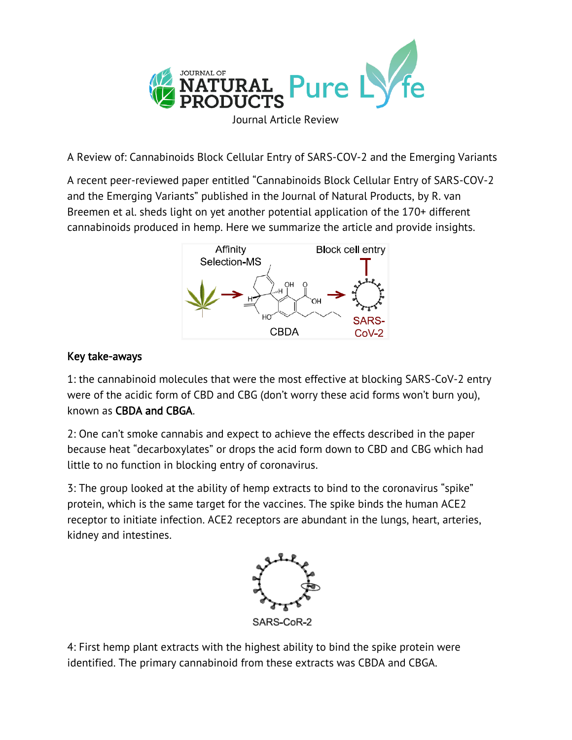

A Review of: Cannabinoids Block Cellular Entry of SARS-COV-2 and the Emerging Variants

A recent peer-reviewed paper entitled "Cannabinoids Block Cellular Entry of SARS-COV-2 and the Emerging Variants" published in the Journal of Natural Products, by R. van Breemen et al. sheds light on yet another potential application of the 170+ different cannabinoids produced in hemp. Here we summarize the article and provide insights.



## Key take-aways

1: the cannabinoid molecules that were the most effective at blocking SARS-CoV-2 entry were of the acidic form of CBD and CBG (don't worry these acid forms won't burn you), known as CBDA and CBGA.

2: One can't smoke cannabis and expect to achieve the effects described in the paper because heat "decarboxylates" or drops the acid form down to CBD and CBG which had little to no function in blocking entry of coronavirus.

3: The group looked at the ability of hemp extracts to bind to the coronavirus "spike" protein, which is the same target for the vaccines. The spike binds the human ACE2 receptor to initiate infection. ACE2 receptors are abundant in the lungs, heart, arteries, kidney and intestines.



4: First hemp plant extracts with the highest ability to bind the spike protein were identified. The primary cannabinoid from these extracts was CBDA and CBGA.